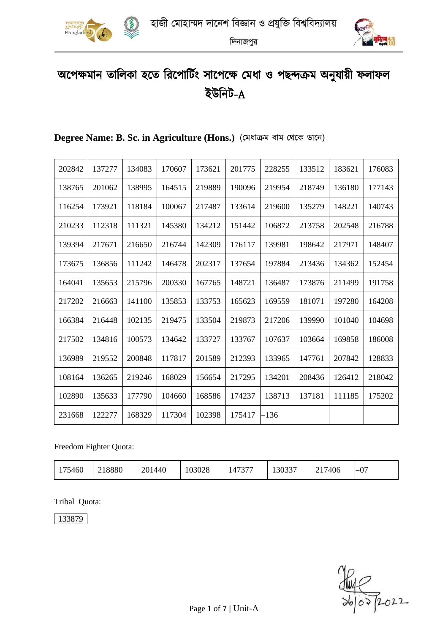



# অপেক্ষমান তালিকা হতে রিপোর্টিং সাপেক্ষে মেধা ও পছন্দক্রম অনুযায়ী ফলাফল ইউনিট-A

| 202842 | 137277 | 134083 | 170607 | 173621 | 201775 | 228255 | 133512 | 183621 | 176083 |
|--------|--------|--------|--------|--------|--------|--------|--------|--------|--------|
| 138765 | 201062 | 138995 | 164515 | 219889 | 190096 | 219954 | 218749 | 136180 | 177143 |
| 116254 | 173921 | 118184 | 100067 | 217487 | 133614 | 219600 | 135279 | 148221 | 140743 |
| 210233 | 112318 | 111321 | 145380 | 134212 | 151442 | 106872 | 213758 | 202548 | 216788 |
| 139394 | 217671 | 216650 | 216744 | 142309 | 176117 | 139981 | 198642 | 217971 | 148407 |
| 173675 | 136856 | 111242 | 146478 | 202317 | 137654 | 197884 | 213436 | 134362 | 152454 |
| 164041 | 135653 | 215796 | 200330 | 167765 | 148721 | 136487 | 173876 | 211499 | 191758 |
| 217202 | 216663 | 141100 | 135853 | 133753 | 165623 | 169559 | 181071 | 197280 | 164208 |
| 166384 | 216448 | 102135 | 219475 | 133504 | 219873 | 217206 | 139990 | 101040 | 104698 |
| 217502 | 134816 | 100573 | 134642 | 133727 | 133767 | 107637 | 103664 | 169858 | 186008 |
| 136989 | 219552 | 200848 | 117817 | 201589 | 212393 | 133965 | 147761 | 207842 | 128833 |
| 108164 | 136265 | 219246 | 168029 | 156654 | 217295 | 134201 | 208436 | 126412 | 218042 |
| 102890 | 135633 | 177790 | 104660 | 168586 | 174237 | 138713 | 137181 | 111185 | 175202 |
| 231668 | 122277 | 168329 | 117304 | 102398 | 175417 | $=136$ |        |        |        |

## **Degree Name: B. Sc. in Agriculture (Hons.)** (মমধাক্রম বাম মেপক ডাপন)

Freedom Fighter Quota:

| $1 \leq \alpha$<br>546U | 8880<br>1440<br>201 | 03028 | 147377 | 0.0027<br>13033. | '406 | $\sim$<br>$-$<br>$-\mathsf{v}$ , |
|-------------------------|---------------------|-------|--------|------------------|------|----------------------------------|
|-------------------------|---------------------|-------|--------|------------------|------|----------------------------------|

Tribal Quota:

 $\frac{1}{1000}$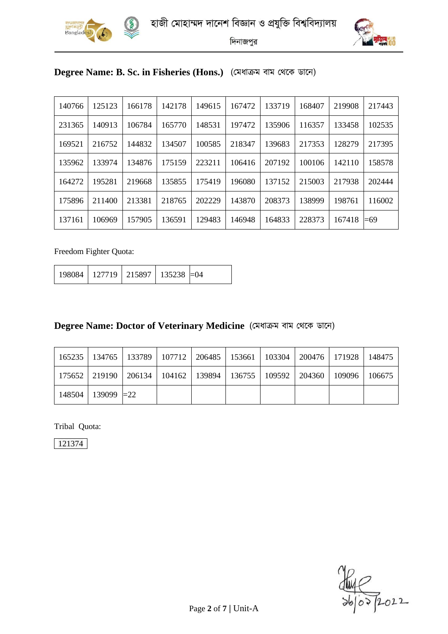



## **Degree Name: B. Sc. in Fisheries (Hons.)** (মমধাক্রম বাম মেপক ডাপন)

| 140766 | 125123 | 166178 | 142178 | 149615 | 167472 | 133719 | 168407 | 219908 | 217443 |
|--------|--------|--------|--------|--------|--------|--------|--------|--------|--------|
| 231365 | 140913 | 106784 | 165770 | 148531 | 197472 | 135906 | 116357 | 133458 | 102535 |
| 169521 | 216752 | 144832 | 134507 | 100585 | 218347 | 139683 | 217353 | 128279 | 217395 |
| 135962 | 133974 | 134876 | 175159 | 223211 | 106416 | 207192 | 100106 | 142110 | 158578 |
| 164272 | 195281 | 219668 | 135855 | 175419 | 196080 | 137152 | 215003 | 217938 | 202444 |
| 175896 | 211400 | 213381 | 218765 | 202229 | 143870 | 208373 | 138999 | 198761 | 116002 |
| 137161 | 106969 | 157905 | 136591 | 129483 | 146948 | 164833 | 228373 | 167418 | $=69$  |

Freedom Fighter Quota:

| 198084   127719   215897   135238 $\equiv$ 04 |  |  |  |
|-----------------------------------------------|--|--|--|
|-----------------------------------------------|--|--|--|

## **Degree Name: Doctor of Veterinary Medicine** (মমধাক্রম বাম মেপক ডাপন)

|                               |  |  | 165235   134765   133789   107712   206485   153661   103304   200476   171928   148475 |  |
|-------------------------------|--|--|-----------------------------------------------------------------------------------------|--|
|                               |  |  | 175652   219190   206134   104162   139894   136755   109592   204360   109096   106675 |  |
| $148504$   139099 $\equiv$ 22 |  |  |                                                                                         |  |

Tribal Quota:

 $\frac{1}{\frac{1}{100}}$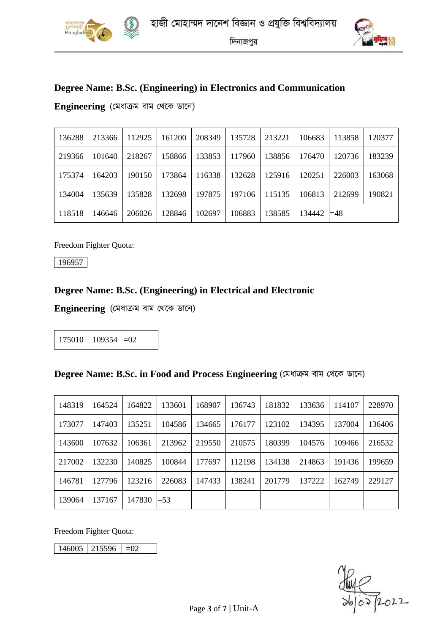



# **Degree Name: B.Sc. (Engineering) in Electronics and Communication**

**Engineering** (মমধাক্রম বাম মেপক ডাপন)

| 136288 | 213366 | 112925 | 161200 | 208349 | 135728 | 213221 | 106683 | 113858 | 120377 |
|--------|--------|--------|--------|--------|--------|--------|--------|--------|--------|
| 219366 | 101640 | 218267 | 158866 | 133853 | 117960 | 138856 | 176470 | 120736 | 183239 |
| 175374 | 164203 | 190150 | 173864 | 116338 | 132628 | 125916 | 120251 | 226003 | 163068 |
| 134004 | 135639 | 135828 | 132698 | 197875 | 197106 | 115135 | 106813 | 212699 | 190821 |
| 118518 | 146646 | 206026 | 128846 | 102697 | 106883 | 138585 | 134442 | $=48$  |        |

Freedom Fighter Quota:

196957

## **Degree Name: B.Sc. (Engineering) in Electrical and Electronic**

**Engineering** (মমধাক্রম বাম মেপক ডাপন)

|  | $175010$ 109354 = 02 |  |
|--|----------------------|--|
|--|----------------------|--|

#### **Degree Name: B.Sc. in Food and Process Engineering** (মমধাক্রম বাম মেপক ডাপন)

| 148319 | 164524 | 164822 | 133601 | 168907 | 136743 | 181832 | 133636 | 114107 | 228970 |
|--------|--------|--------|--------|--------|--------|--------|--------|--------|--------|
| 173077 | 147403 | 135251 | 104586 | 134665 | 176177 | 123102 | 134395 | 137004 | 136406 |
| 143600 | 107632 | 106361 | 213962 | 219550 | 210575 | 180399 | 104576 | 109466 | 216532 |
| 217002 | 132230 | 140825 | 100844 | 177697 | 112198 | 134138 | 214863 | 191436 | 199659 |
| 146781 | 127796 | 123216 | 226083 | 147433 | 138241 | 201779 | 137222 | 162749 | 229127 |
| 139064 | 137167 | 147830 | $=$ 53 |        |        |        |        |        |        |

Freedom Fighter Quota:

 $146005$  215596 =02

 $\frac{1}{\frac{1}{100}}$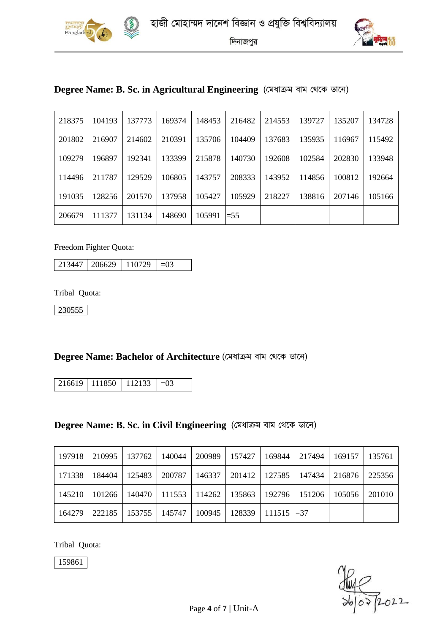



|  |  |  | Degree Name: B. Sc. in Agricultural Engineering (মেধাক্রম বাম থেকে ডানে) |  |
|--|--|--|--------------------------------------------------------------------------|--|
|  |  |  |                                                                          |  |

| 218375 | 104193 | 137773 | 169374 | 148453 | 216482 | 214553 | 139727 | 135207 | 134728 |
|--------|--------|--------|--------|--------|--------|--------|--------|--------|--------|
| 201802 | 216907 | 214602 | 210391 | 135706 | 104409 | 137683 | 135935 | 116967 | 115492 |
| 109279 | 196897 | 192341 | 133399 | 215878 | 140730 | 192608 | 102584 | 202830 | 133948 |
| 114496 | 211787 | 129529 | 106805 | 143757 | 208333 | 143952 | 114856 | 100812 | 192664 |
| 191035 | 128256 | 201570 | 137958 | 105427 | 105929 | 218227 | 138816 | 207146 | 105166 |
| 206679 | 111377 | 131134 | 148690 | 105991 | $=$ 55 |        |        |        |        |

Freedom Fighter Quota:

 $213447 \mid 206629 \mid 110729 \mid =03$ 

Tribal Quota:

230555

#### **Degree Name: Bachelor of Architecture** (মমধাক্রম বাম মেপক ডাপন)

 $216619$  111850 112133 = 03

**Degree Name: B. Sc. in Civil Engineering** (মমধাক্রম বাম মেপক ডাপন)

| 197918 | 210995 | 137762          | 140044 | 200989                                                       | 157427 | 169844                   | 217494 | 169157 | 135761 |
|--------|--------|-----------------|--------|--------------------------------------------------------------|--------|--------------------------|--------|--------|--------|
| 171338 | 184404 | 125483          | 200787 | 146337                                                       |        | 201412   127585          | 147434 | 216876 | 225356 |
| 145210 |        |                 |        | 101266   140470   111553   114262   135863   192796   151206 |        |                          |        | 105056 | 201010 |
| 164279 |        | 222185   153755 | 145747 | 100945                                                       |        | $128339$   111515   = 37 |        |        |        |

Tribal Quota:

 $\frac{1}{\frac{1}{100}}$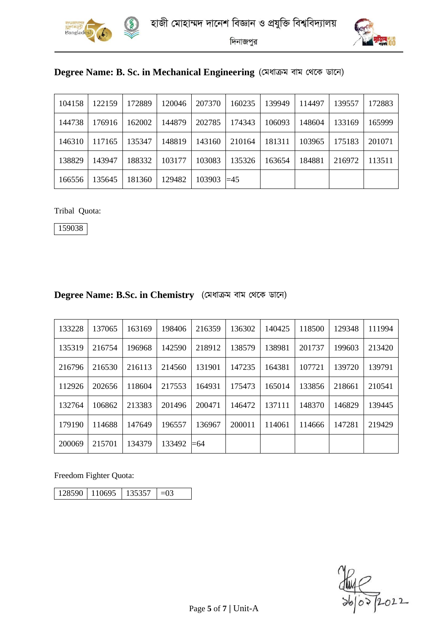



| Degree Name: B. Sc. in Mechanical Engineering (মেধাক্রম বাম থেকে ডানে) |  |  |  |  |  |  |  |
|------------------------------------------------------------------------|--|--|--|--|--|--|--|
|------------------------------------------------------------------------|--|--|--|--|--|--|--|

| 104158 | 122159 | 172889 | 120046 | 207370        | 160235 | 139949 | 114497 | 139557 | 172883 |
|--------|--------|--------|--------|---------------|--------|--------|--------|--------|--------|
| 144738 | 176916 | 162002 | 144879 | 202785        | 174343 | 106093 | 148604 | 133169 | 165999 |
| 146310 | 117165 | 135347 | 148819 | 143160        | 210164 | 181311 | 103965 | 175183 | 201071 |
| 138829 | 143947 | 188332 | 103177 | 103083        | 135326 | 163654 | 184881 | 216972 | 113511 |
| 166556 | 135645 | 181360 | 129482 | $103903 = 45$ |        |        |        |        |        |

Tribal Quota:

| Degree Name: B.Sc. in Chemistry (মেধাক্রম বাম থেকে ডানে) |  |  |
|----------------------------------------------------------|--|--|
|                                                          |  |  |

| 133228 | 137065 | 163169 | 198406 | 216359 | 136302 | 140425 | 118500 | 129348 | 111994 |
|--------|--------|--------|--------|--------|--------|--------|--------|--------|--------|
| 135319 | 216754 | 196968 | 142590 | 218912 | 138579 | 138981 | 201737 | 199603 | 213420 |
| 216796 | 216530 | 216113 | 214560 | 131901 | 147235 | 164381 | 107721 | 139720 | 139791 |
| 112926 | 202656 | 118604 | 217553 | 164931 | 175473 | 165014 | 133856 | 218661 | 210541 |
| 132764 | 106862 | 213383 | 201496 | 200471 | 146472 | 137111 | 148370 | 146829 | 139445 |
| 179190 | 114688 | 147649 | 196557 | 136967 | 200011 | 114061 | 114666 | 147281 | 219429 |
| 200069 | 215701 | 134379 | 133492 | =64    |        |        |        |        |        |

Freedom Fighter Quota:

| 128590 110695 |  |  |
|---------------|--|--|
|---------------|--|--|

 $\frac{1}{\frac{1}{100}}$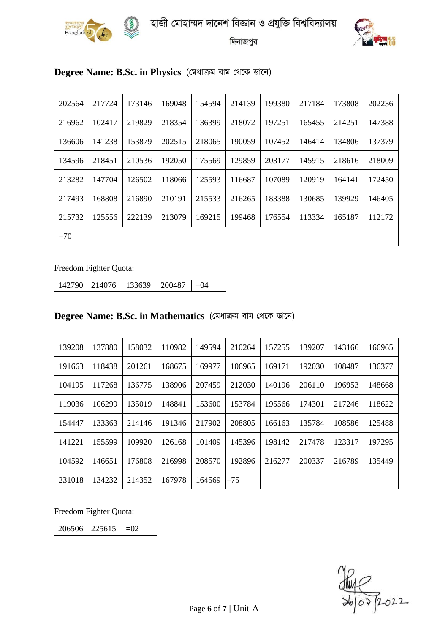



# **Degree Name: B.Sc. in Physics** (মমধাক্রম বাম মেপক ডাপন)

| 202564 | 217724 | 173146 | 169048 | 154594 | 214139 | 199380 | 217184 | 173808 | 202236 |
|--------|--------|--------|--------|--------|--------|--------|--------|--------|--------|
| 216962 | 102417 | 219829 | 218354 | 136399 | 218072 | 197251 | 165455 | 214251 | 147388 |
| 136606 | 141238 | 153879 | 202515 | 218065 | 190059 | 107452 | 146414 | 134806 | 137379 |
| 134596 | 218451 | 210536 | 192050 | 175569 | 129859 | 203177 | 145915 | 218616 | 218009 |
| 213282 | 147704 | 126502 | 118066 | 125593 | 116687 | 107089 | 120919 | 164141 | 172450 |
| 217493 | 168808 | 216890 | 210191 | 215533 | 216265 | 183388 | 130685 | 139929 | 146405 |
| 215732 | 125556 | 222139 | 213079 | 169215 | 199468 | 176554 | 113334 | 165187 | 112172 |
| $=70$  |        |        |        |        |        |        |        |        |        |

Freedom Fighter Quota:

214076 133639 200487 =04

#### **Degree Name: B.Sc. in Mathematics** (মমধাক্রম বাম মেপক ডাপন)

| 139208 | 137880 | 158032 | 110982 | 149594 | 210264 | 157255 | 139207 | 143166 | 166965 |
|--------|--------|--------|--------|--------|--------|--------|--------|--------|--------|
| 191663 | 118438 | 201261 | 168675 | 169977 | 106965 | 169171 | 192030 | 108487 | 136377 |
| 104195 | 117268 | 136775 | 138906 | 207459 | 212030 | 140196 | 206110 | 196953 | 148668 |
| 119036 | 106299 | 135019 | 148841 | 153600 | 153784 | 195566 | 174301 | 217246 | 118622 |
| 154447 | 133363 | 214146 | 191346 | 217902 | 208805 | 166163 | 135784 | 108586 | 125488 |
| 141221 | 155599 | 109920 | 126168 | 101409 | 145396 | 198142 | 217478 | 123317 | 197295 |
| 104592 | 146651 | 176808 | 216998 | 208570 | 192896 | 216277 | 200337 | 216789 | 135449 |
| 231018 | 134232 | 214352 | 167978 | 164569 | $=75$  |        |        |        |        |

Freedom Fighter Quota:

 $225615$  = 02

 $\frac{1}{\frac{1}{100}}$